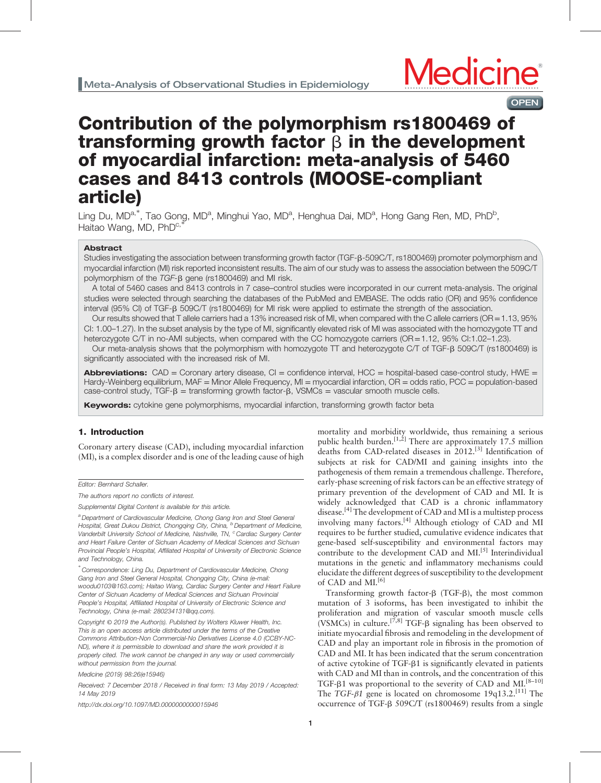

# Contribution of the polymorphism rs1800469 of transforming growth factor  $\beta$  in the development of myocardial infarction: meta-analysis of 5460 cases and 8413 controls (MOOSE-compliant article)

Ling Du, MD<sup>a,\*</sup>, Tao Gong, MD<sup>a</sup>, Minghui Yao, MD<sup>a</sup>, Henghua Dai, MD<sup>a</sup>, Hong Gang Ren, MD, PhD<sup>b</sup>, Haitao Wang, MD, PhD<sup>c,</sup>

# Abstract

Studies investigating the association between transforming growth factor (TGF-B-509C/T, rs1800469) promoter polymorphism and myocardial infarction (MI) risk reported inconsistent results. The aim of our study was to assess the association between the 509C/T polymorphism of the  $TGF-B$  gene (rs1800469) and MI risk.

A total of 5460 cases and 8413 controls in 7 case–control studies were incorporated in our current meta-analysis. The original studies were selected through searching the databases of the PubMed and EMBASE. The odds ratio (OR) and 95% confidence interval (95% CI) of TGF-b 509C/T (rs1800469) for MI risk were applied to estimate the strength of the association.

Our results showed that T allele carriers had a 13% increased risk of MI, when compared with the C allele carriers (OR=1.13, 95%  $Cl: 1.00-1.27$ ). In the subset analysis by the type of MI, significantly elevated risk of MI was associated with the homozygote  $TT$  and heterozygote C/T in no-AMI subjects, when compared with the CC homozygote carriers (OR=1.12, 95% CI:1.02–1.23).

Our meta-analysis shows that the polymorphism with homozygote TT and heterozygote C/T of TGF- $\beta$  509C/T (rs1800469) is significantly associated with the increased risk of MI.

Abbreviations:  $CAD = Coronary$  artery disease,  $CI = confidence$  interval,  $HCC = hospital$ -based case-control study.  $HWE =$ Hardy-Weinberg equilibrium, MAF = Minor Allele Frequency, MI = myocardial infarction, OR = odds ratio, PCC = population-based case-control study,  $TGF - \beta$  = transforming growth factor- $\beta$ , VSMCs = vascular smooth muscle cells.

**Keywords:** cytokine gene polymorphisms, myocardial infarction, transforming growth factor beta

## 1. Introduction

Coronary artery disease (CAD), including myocardial infarction (MI), is a complex disorder and is one of the leading cause of high

Editor: Bernhard Schaller.

∗ Correspondence: Ling Du, Department of Cardiovascular Medicine, Chong Gang Iron and Steel General Hospital, Chongqing City, China (e-mail: [woodu0103@163.com](mailto:woodu0103@163.com)); Haitao Wang, Cardiac Surgery Center and Heart Failure Center of Sichuan Academy of Medical Sciences and Sichuan Provincial People's Hospital, Affiliated Hospital of University of Electronic Science and Technology, China (e-mail: [280234131@qq.com](mailto:280234131@qq.com)).

Copyright © 2019 the Author(s). Published by Wolters Kluwer Health, Inc. This is an open access article distributed under the terms of the [Creative](http://creativecommons.org/licenses/by-nc-nd/4.0) [Commons Attribution-Non Commercial-No Derivatives License 4.0](http://creativecommons.org/licenses/by-nc-nd/4.0) (CCBY-NC-ND), where it is permissible to download and share the work provided it is properly cited. The work cannot be changed in any way or used commercially without permission from the journal.

Medicine (2019) 98:26(e15946)

Received: 7 December 2018 / Received in final form: 13 May 2019 / Accepted: 14 May 2019

<http://dx.doi.org/10.1097/MD.0000000000015946>

mortality and morbidity worldwide, thus remaining a serious public health burden.<sup>[1,2]</sup> There are approximately 17.5 million deaths from CAD-related diseases in 2012.[\[3\]](#page-6-0) Identification of subjects at risk for CAD/MI and gaining insights into the pathogenesis of them remain a tremendous challenge. Therefore, early-phase screening of risk factors can be an effective strategy of primary prevention of the development of CAD and MI. It is widely acknowledged that CAD is a chronic inflammatory disease.<sup>[\[4\]](#page-6-0)</sup> The development of CAD and MI is a multistep process involving many factors.<sup>[\[4\]](#page-6-0)</sup> Although etiology of CAD and MI requires to be further studied, cumulative evidence indicates that gene-based self-susceptibility and environmental factors may contribute to the development CAD and  $ML^{[5]}$  $ML^{[5]}$  $ML^{[5]}$  Interindividual mutations in the genetic and inflammatory mechanisms could elucidate the different degrees of susceptibility to the development of CAD and MI.<sup>[\[6\]](#page-6-0)</sup>

Transforming growth factor- $\beta$  (TGF- $\beta$ ), the most common mutation of 3 isoforms, has been investigated to inhibit the proliferation and migration of vascular smooth muscle cells (VSMCs) in culture.<sup>[7,8]</sup> TGF- $\beta$  signaling has been observed to initiate myocardial fibrosis and remodeling in the development of CAD and play an important role in fibrosis in the promotion of CAD and MI. It has been indicated that the serum concentration of active cytokine of TGF-b1 is significantly elevated in patients with CAD and MI than in controls, and the concentration of this TGF- $\beta$ 1 was proportional to the severity of CAD and MI.<sup>[8–10]</sup> The TGF- $\beta$ 1 gene is located on chromosome 19q13.2.<sup>[11]</sup> The occurrence of TGF-b 509C/T (rs1800469) results from a single

The authors report no conflicts of interest.

Supplemental Digital Content is available for this article.

a Department of Cardiovascular Medicine, Chong Gang Iron and Steel General Hospital, Great Dukou District, Chongqing City, China, <sup>b</sup> Department of Medicine, Vanderbilt University School of Medicine, Nashville, TN, <sup>c</sup> Cardiac Surgery Center and Heart Failure Center of Sichuan Academy of Medical Sciences and Sichuan Provincial People's Hospital, Affiliated Hospital of University of Electronic Science and Technology, China.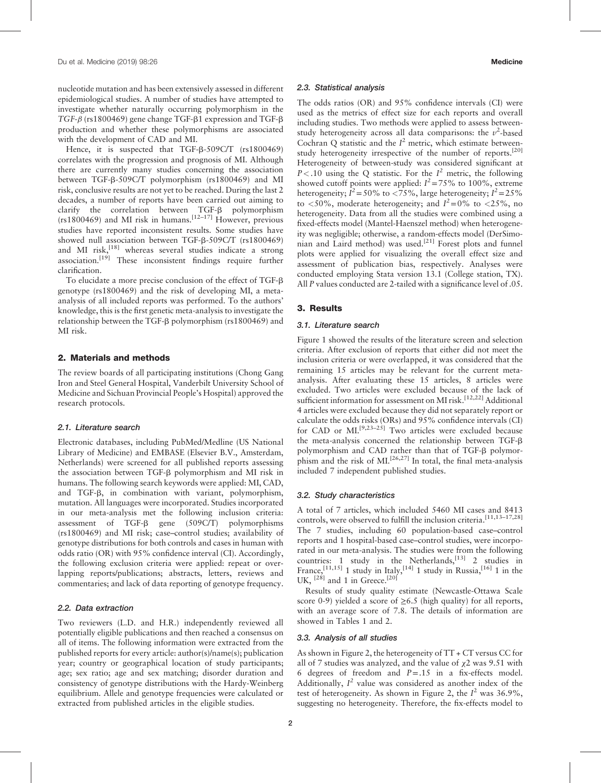nucleotide mutation and has been extensively assessed in different epidemiological studies. A number of studies have attempted to investigate whether naturally occurring polymorphism in the TGF- $\beta$  (rs1800469) gene change TGF- $\beta$ 1 expression and TGF- $\beta$ production and whether these polymorphisms are associated with the development of CAD and MI.

Hence, it is suspected that TGF-B-509C/T (rs1800469) correlates with the progression and prognosis of MI. Although there are currently many studies concerning the association between TGF-b-509C/T polymorphism (rs1800469) and MI risk, conclusive results are not yet to be reached. During the last 2 decades, a number of reports have been carried out aiming to clarify the correlation between TGF- $\beta$  polymorphism (rs1800469) and MI risk in humans.<sup>[12-17]</sup> However, previous studies have reported inconsistent results. Some studies have showed null association between TGF- $\beta$ -509C/T (rs1800469) and MI risk,<sup>[\[18\]](#page-7-0)</sup> whereas several studies indicate a strong association.<sup>[\[19\]](#page-7-0)</sup> These inconsistent findings require further clarification.

To elucidate a more precise conclusion of the effect of TGF-b genotype (rs1800469) and the risk of developing MI, a metaanalysis of all included reports was performed. To the authors' knowledge, this is the first genetic meta-analysis to investigate the relationship between the TGF- $\beta$  polymorphism (rs1800469) and MI risk.

#### 2. Materials and methods

The review boards of all participating institutions (Chong Gang Iron and Steel General Hospital, Vanderbilt University School of Medicine and Sichuan Provincial People's Hospital) approved the research protocols.

#### 2.1. Literature search

Electronic databases, including PubMed/Medline (US National Library of Medicine) and EMBASE (Elsevier B.V., Amsterdam, Netherlands) were screened for all published reports assessing the association between TGF- $\beta$  polymorphism and MI risk in humans. The following search keywords were applied: MI, CAD, and TGF-b, in combination with variant, polymorphism, mutation. All languages were incorporated. Studies incorporated in our meta-analysis met the following inclusion criteria: assessment of  $TGF-B$  gene  $(509C/T)$  polymorphisms (rs1800469) and MI risk; case–control studies; availability of genotype distributions for both controls and cases in human with odds ratio (OR) with 95% confidence interval (CI). Accordingly, the following exclusion criteria were applied: repeat or overlapping reports/publications; abstracts, letters, reviews and commentaries; and lack of data reporting of genotype frequency.

#### 2.2. Data extraction

Two reviewers (L.D. and H.R.) independently reviewed all potentially eligible publications and then reached a consensus on all of items. The following information were extracted from the published reports for every article: author(s)/name(s); publication year; country or geographical location of study participants; age; sex ratio; age and sex matching; disorder duration and consistency of genotype distributions with the Hardy-Weinberg equilibrium. Allele and genotype frequencies were calculated or extracted from published articles in the eligible studies.

# 2.3. Statistical analysis

The odds ratios (OR) and 95% confidence intervals (CI) were used as the metrics of effect size for each reports and overall including studies. Two methods were applied to assess betweenstudy heterogeneity across all data comparisons: the  $v^2$ -based Cochran Q statistic and the  $I^2$  metric, which estimate betweenstudy heterogeneity irrespective of the number of reports.[\[20\]](#page-7-0) Heterogeneity of between-study was considered significant at  $P < 0.10$  using the Q statistic. For the  $I^2$  metric, the following showed cutoff points were applied:  $I^2 = 75\%$  to 100%, extreme heterogeneity;  $\hat{I}^2 = 50\%$  to  $\langle 75\%,$  large heterogeneity;  $\hat{I}^2 = 25\%$ to <50%, moderate heterogeneity; and  $I^2 = 0$ % to <25%, no heterogeneity. Data from all the studies were combined using a fixed-effects model (Mantel-Haenszel method) when heterogeneity was negligible; otherwise, a random-effects model (DerSimo-nian and Laird method) was used.<sup>[\[21\]](#page-7-0)</sup> Forest plots and funnel plots were applied for visualizing the overall effect size and assessment of publication bias, respectively. Analyses were conducted employing Stata version 13.1 (College station, TX). All P values conducted are 2-tailed with a significance level of .05.

# 3. Results

# 3.1. Literature search

[Figure 1](#page-2-0) showed the results of the literature screen and selection criteria. After exclusion of reports that either did not meet the inclusion criteria or were overlapped, it was considered that the remaining 15 articles may be relevant for the current metaanalysis. After evaluating these 15 articles, 8 articles were excluded. Two articles were excluded because of the lack of sufficient information for assessment on MI risk.<sup>[12,22]</sup> Additional 4 articles were excluded because they did not separately report or calculate the odds risks (ORs) and 95% confidence intervals (CI) for CAD or MI.<sup>[9,23–25]</sup> Two articles were excluded because the meta-analysis concerned the relationship between TGF-b polymorphism and CAD rather than that of TGF- $\beta$  polymorphism and the risk of MI.<sup>[26,27]</sup> In total, the final meta-analysis included 7 independent published studies.

# 3.2. Study characteristics

A total of 7 articles, which included 5460 MI cases and 8413 controls, were observed to fulfill the inclusion criteria.<sup>[11,13-17,28]</sup> The 7 studies, including 60 population-based case–control reports and 1 hospital-based case–control studies, were incorporated in our meta-analysis. The studies were from the following countries: 1 study in the Netherlands,  $^{[13]}$  $^{[13]}$  $^{[13]}$  2 studies in France,<sup>[11,15]</sup> 1 study in Italy,<sup>[\[14\]](#page-7-0)</sup> 1 study in Russia,<sup>[\[16\]](#page-7-0)</sup> 1 in the UK,  $^{[28]}$  $^{[28]}$  $^{[28]}$  and 1 in Greece.<sup>[\[20\]](#page-7-0)</sup>

Results of study quality estimate (Newcastle-Ottawa Scale score 0-9) yielded a score of  $\geq 6.5$  (high quality) for all reports, with an average score of 7.8. The details of information are showed in Tables 1 and 2.

#### 3.3. Analysis of all studies

As shown in [Figure 2,](#page-3-0) the heterogeneity of TT + CT versus CC for all of 7 studies was analyzed, and the value of  $x^2$  was 9.51 with 6 degrees of freedom and  $P = .15$  in a fix-effects model. Additionally,  $I^2$  value was considered as another index of the test of heterogeneity. As shown in [Figure 2,](#page-3-0) the  $I^2$  was 36.9%, suggesting no heterogeneity. Therefore, the fix-effects model to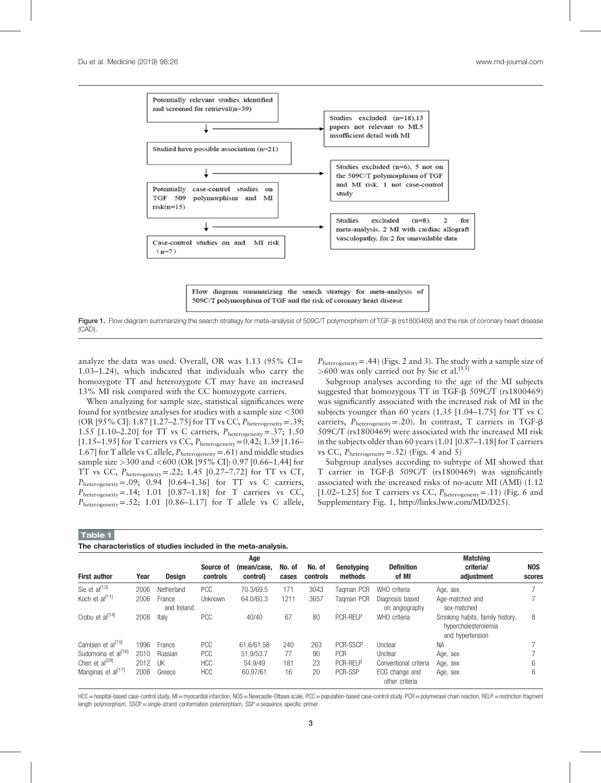<span id="page-2-0"></span>

Figure 1. Flow diagram summarizing the search strategy for meta-analysis of 509C/T polymorphism of TGF- $\beta$  (rs1800469) and the risk of coronary heart disease (CAD).

analyze the data was used. Overall, OR was  $1.13$  (95% CI= 1.03–1.24), which indicated that individuals who carry the homozygote TT and heterozygote CT may have an increased 13% MI risk compared with the CC homozygote carriers.

When analyzing for sample size, statistical significances were found for synthesize analyses for studies with a sample size <300 (OR [95% CI]: 1.87 [1.27–2.75] for TT vs CC,  $P_{heterogeneity} = .39;$ 1.55  $[1.10-2.20]$  for TT vs C carriers,  $P_{heterogeneity} = .37; 1.50$ [1.15–1.95] for T carriers vs CC,  $P_{\text{heterogeneity}} = 0.42; 1.39$  [1.16– 1.67] for T allele vs C allele,  $P_{\text{heterogeneity}} = .61$  and middle studies sample size >300 and <600 (OR [95% CI]: 0.97 [0.66–1.44] for TT vs CC,  $P_{\text{heterogeneity}} = .22$ ; 1.45 [0.27–7.72] for TT vs CT,  $P_{\text{heterogeneity}} = .09; 0.94$  [0.64–1.36] for TT vs C carriers,  $P_{\text{heterogeneity}} = .14; 1.01 [0.87–1.18]$  for T carriers vs CC,  $P_{\text{heterogeneity}} = .52; 1.01 [0.86–1.17]$  for T allele vs C allele,  $P_{\text{heterogeneity}} = .44$ ) (Figs. 2 and 3). The study with a sample size of  $>600$  was only carried out by Sie et al.<sup>[\[13\]](#page-7-0)</sup>

Subgroup analyses according to the age of the MI subjects suggested that homozygous  $TT$  in TGF- $\beta$  509C/T (rs1800469) was significantly associated with the increased risk of MI in the subjects younger than 60 years (1.35 [1.04–1.75] for TT vs C carriers,  $P_{\text{heterogeneity}} = .20$ ). In contrast, T carriers in TGF- $\beta$ 509C/T (rs1800469) were associated with the increased MI risk in the subjects older than 60 years (1.01 [0.87–1.18] for T carriers vs CC,  $P_{\text{heterogeneity}} = .52$ ) (Figs. 4 and 5)

Subgroup analyses according to subtype of MI showed that T carrier in TGF- $\beta$  509C/T (rs1800469) was significantly associated with the increased risks of no-acute MI (AMI) (1.12 [1.02–1.23] for T carriers vs CC,  $P_{\text{heterogeneity}} = .11$ ) [\(Fig. 6](#page-5-0) and Supplementary Fig. 1, [http://links.lww.com/MD/D25\)](http://links.lww.com/MD/D25).

| The characteristics of studies included in the meta-analysis. |  |  |
|---------------------------------------------------------------|--|--|
|                                                               |  |  |

| <b>First author</b>             | Year | <b>Design</b>         | Source of<br>controls | Age<br>(mean/case.<br>control) | No. of<br>cases | No. of<br>controls | Genotyping<br>methods | <b>Definition</b><br>of MI        | <b>Matching</b><br>criteria/<br>adjustment                                  | <b>NOS</b><br>scores |
|---------------------------------|------|-----------------------|-----------------------|--------------------------------|-----------------|--------------------|-----------------------|-----------------------------------|-----------------------------------------------------------------------------|----------------------|
| Sie et al[13]                   | 2006 | Netherland            | <b>PCC</b>            | 70.3/69.5                      | 171             | 3043               | Taaman PCR            | WHO criteria                      | Age, sex                                                                    |                      |
| Koch et al[11]                  | 2006 | France<br>and Ireland | <b>Unknown</b>        | 64.0/60.3                      | 1211            | 3657               | Taaman PCR            | Diagnosis based<br>on angiography | Age-matched and<br>sex-matched                                              |                      |
| Crobu et al <sup>[14]</sup>     | 2008 | Italy                 | <b>PCC</b>            | 40/40                          | 67              | 80                 | <b>PCR-RELP</b>       | WHO criteria                      | Smoking habits, family history.<br>hypercholesterolemia<br>and hypertension | 8                    |
| Cambien et al <sup>[15]</sup>   | 1996 | France                | <b>PCC</b>            | 61.6/61.58                     | 240             | 263                | PCR-SSCP              | Unclear                           | ΝA                                                                          |                      |
| Sudomoina et al <sup>[16]</sup> | 2010 | Russian               | <b>PCC</b>            | 51.9/53.7                      | 77              | 90                 | <b>PCR</b>            | Unclear                           | Age, sex                                                                    |                      |
| Chen et $al^{[28]}$             | 2012 | UК                    | <b>HCC</b>            | 54.9/49                        | 181             | 23                 | PCR-RELP              | Conventional criteria             | Age, sex                                                                    | 6                    |
| Manginas et al <sup>[17]</sup>  | 2008 | Greece                | <b>HCC</b>            | 60.97/61                       | 16              | 20                 | PCR-SSP               | ECG change and<br>other criteria  | Age, sex                                                                    | 6                    |

HCC=hospital-based case-control study, MI=myocardial infarction, NOS=Newcastle-Ottawa scale, PCC=population-based case-control study, PCR=polymerase chain reaction, RELP=restriction fragment length polymorphism,  $SSCP$  = single-strand conformation polymorphism,  $SSP$  = sequence specific primer.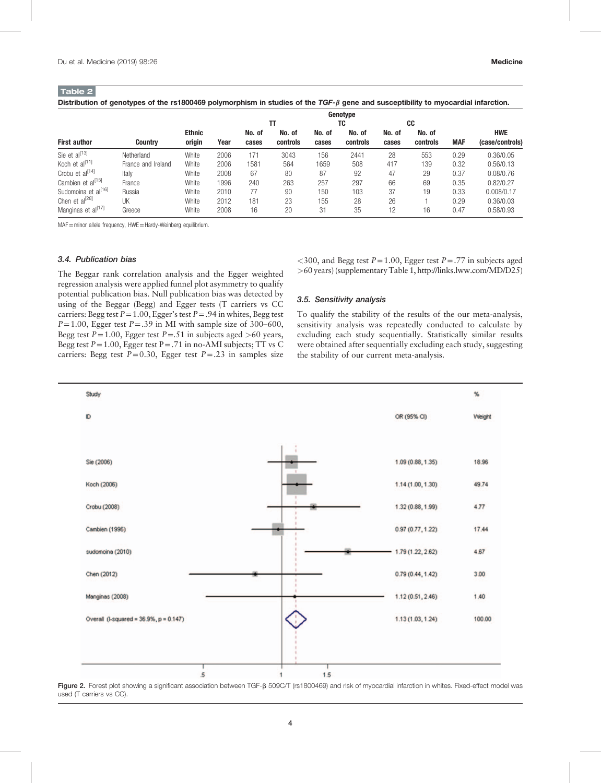<span id="page-3-0"></span> $T = 1.12 \times 2.2$ 

| ⊟apie ∠ i                   | Distribution of genotypes of the rs1800469 polymorphism in studies of the $TGF-\beta$ gene and susceptibility to myocardial infarction. |               |      |          |          |        |          |        |          |            |                 |
|-----------------------------|-----------------------------------------------------------------------------------------------------------------------------------------|---------------|------|----------|----------|--------|----------|--------|----------|------------|-----------------|
|                             |                                                                                                                                         |               |      | Genotvpe |          |        |          |        |          |            |                 |
|                             |                                                                                                                                         |               |      |          |          |        | TC       |        | CC       |            |                 |
|                             |                                                                                                                                         | <b>Ethnic</b> |      | No. of   | No. of   | No. of | No. of   | No. of | No. of   |            | <b>HWE</b>      |
| <b>First author</b>         | <b>Country</b>                                                                                                                          | origin        | Year | cases    | controls | cases  | controls | cases  | controls | <b>MAF</b> | (case/controls) |
| Sie et al <sup>[13]</sup>   | Netherland                                                                                                                              | White         | 2006 | 171      | 3043     | 156    | 2441     | 28     | 553      | 0.29       | 0.36/0.05       |
| Koch et al <sup>l11J</sup>  | France and Ireland                                                                                                                      | White         | 2006 | 1581     | 564      | 1659   | 508      | 417    | 139      | 0.32       | 0.56/0.13       |
| Crobu et al <sup>[14]</sup> | Italy                                                                                                                                   | White         | 2008 | 67       | 80       | 87     | 92       | 47     | 29       | 0.37       | 0.08/0.76       |

Cambien et al<sup>[\[15\]](#page-7-0)</sup> France  $\,$  White 1996 240 263 257 297 66 69 0.35 0.82/0.27 Sudomoina et a[l\[16\]](#page-7-0) Russia White 2010 77 90 150 103 37 19 0.33 0.008/0.17 Chen et a[l\[28\]](#page-7-0) UK White 2012 181 23 155 28 26 1 0.29 0.36/0.03 Manginas et al<sup>[17]</sup> Greece White 2008 16 20 31 35 12 16 0.47 0.58/0.93

MAF=minor allele frequency, HWE=Hardy-Weinberg equilibrium.

#### 3.4. Publication bias

The Beggar rank correlation analysis and the Egger weighted regression analysis were applied funnel plot asymmetry to qualify potential publication bias. Null publication bias was detected by using of the Beggar (Begg) and Egger tests (T carriers vs CC carriers: Begg test  $P = 1.00$ , Egger's test  $P = .94$  in whites, Begg test  $P=1.00$ , Egger test  $P=.39$  in MI with sample size of 300–600, Begg test  $P=1.00$ , Egger test  $P=.51$  in subjects aged >60 years, Begg test  $P = 1.00$ , Egger test  $P = .71$  in no-AMI subjects; TT vs C carriers: Begg test  $P=0.30$ , Egger test  $P=.23$  in samples size

 $<300$ , and Begg test  $P=1.00$ , Egger test  $P=.77$  in subjects aged >60 years) (supplementary Table 1,<http://links.lww.com/MD/D25>)

## 3.5. Sensitivity analysis

To qualify the stability of the results of the our meta-analysis, sensitivity analysis was repeatedly conducted to calculate by excluding each study sequentially. Statistically similar results were obtained after sequentially excluding each study, suggesting the stability of our current meta-analysis.



Figure 2. Forest plot showing a significant association between TGF-B 509C/T (rs1800469) and risk of myocardial infarction in whites. Fixed-effect model was used (T carriers vs CC).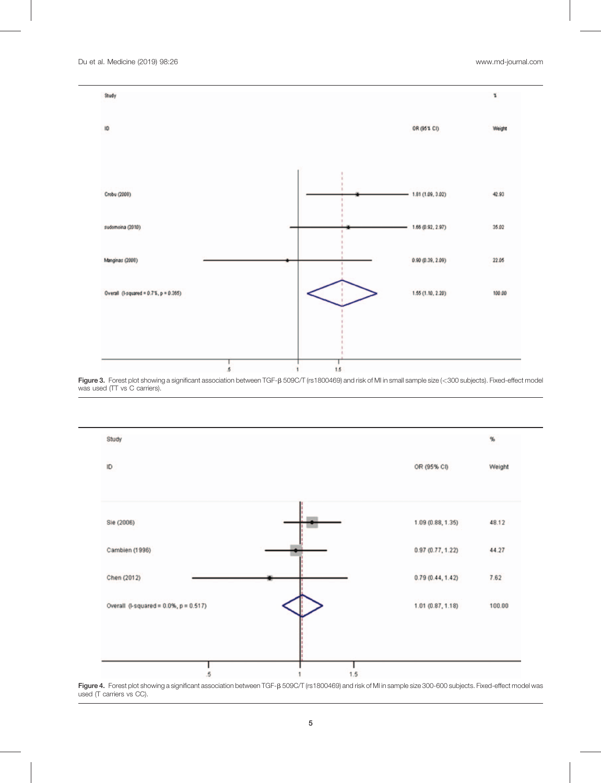

Figure 3. Forest plot showing a significant association between TGF- $\beta$  509C/T (rs1800469) and risk of MI in small sample size (<300 subjects). Fixed-effect model was used (TT vs C carriers).



Figure 4. Forest plot showing a significant association between TGF-B 509C/T (rs1800469) and risk of MI in sample size 300-600 subjects. Fixed-effect model was used (T carriers vs CC).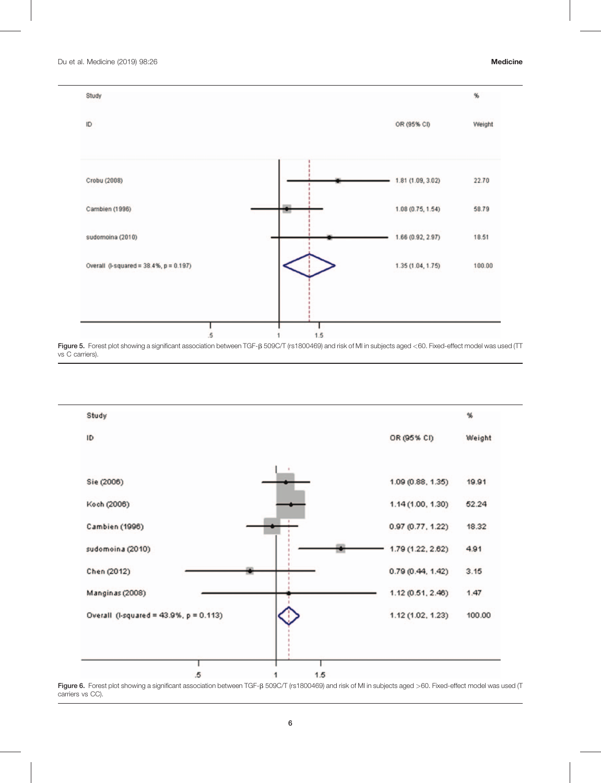<span id="page-5-0"></span>

Figure 5. Forest plot showing a significant association between TGF- $\beta$  509C/T (rs1800469) and risk of MI in subjects aged <60. Fixed-effect model was used (TT vs C carriers).



Figure 6. Forest plot showing a significant association between TGF- $\beta$  509C/T (rs1800469) and risk of MI in subjects aged >60. Fixed-effect model was used (T carriers vs CC).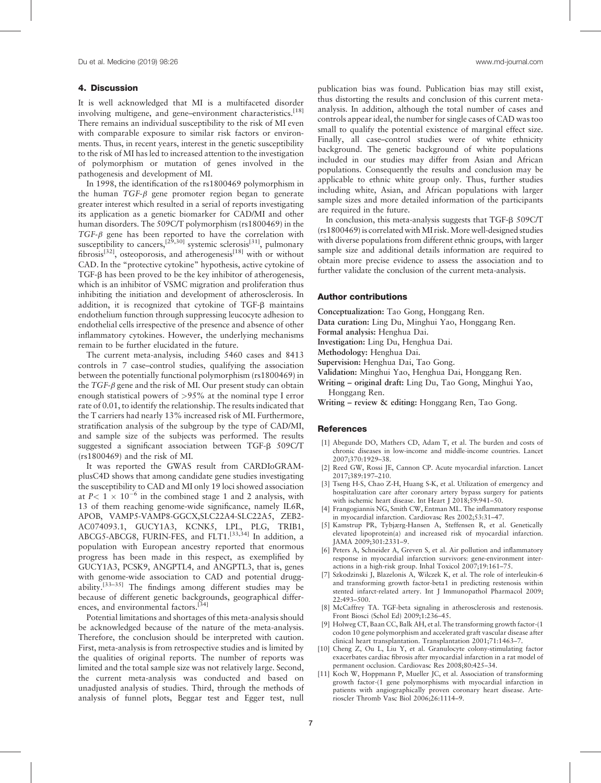# <span id="page-6-0"></span>4. Discussion

It is well acknowledged that MI is a multifaceted disorder involving multigene, and gene-environment characteristics.<sup>[\[18\]](#page-7-0)</sup> There remains an individual susceptibility to the risk of MI even with comparable exposure to similar risk factors or environments. Thus, in recent years, interest in the genetic susceptibility to the risk of MI has led to increased attention to the investigation of polymorphism or mutation of genes involved in the pathogenesis and development of MI.

In 1998, the identification of the rs1800469 polymorphism in the human  $TGF- $\beta$  gene promoter region began to generate$ greater interest which resulted in a serial of reports investigating its application as a genetic biomarker for CAD/MI and other human disorders. The 509C/T polymorphism (rs1800469) in the  $TGF- $\beta$  gene has been reported to have the correlation with$ susceptibility to cancers,<sup>[29,30]</sup> systemic sclerosis<sup>[\[31\]](#page-7-0)</sup>, pulmonary fibrosis<sup>[\[32\]](#page-7-0)</sup>, osteoporosis, and atherogenesis<sup>[\[18\]](#page-7-0)</sup> with or without CAD. In the "protective cytokine" hypothesis, active cytokine of TGF- $\beta$  has been proved to be the key inhibitor of atherogenesis, which is an inhibitor of VSMC migration and proliferation thus inhibiting the initiation and development of atherosclerosis. In addition, it is recognized that cytokine of TGF- $\beta$  maintains endothelium function through suppressing leucocyte adhesion to endothelial cells irrespective of the presence and absence of other inflammatory cytokines. However, the underlying mechanisms remain to be further elucidated in the future.

The current meta-analysis, including 5460 cases and 8413 controls in 7 case–control studies, qualifying the association between the potentially functional polymorphism (rs1800469) in the  $TGF- $\beta$  gene and the risk of MI. Our present study can obtain$ enough statistical powers of >95% at the nominal type I error rate of 0.01, to identify the relationship. The results indicated that the T carriers had nearly 13% increased risk of MI. Furthermore, stratification analysis of the subgroup by the type of CAD/MI, and sample size of the subjects was performed. The results suggested a significant association between TGF-B 509C/T (rs1800469) and the risk of MI.

It was reported the GWAS result from CARDIoGRAMplusC4D shows that among candidate gene studies investigating the susceptibility to CAD and MI only 19 loci showed association at  $P < 1 \times 10^{-6}$  in the combined stage 1 and 2 analysis, with 13 of them reaching genome-wide significance, namely IL6R, APOB, VAMP5-VAMP8-GGCX,SLC22A4-SLC22A5, ZEB2- AC074093.1, GUCY1A3, KCNK5, LPL, PLG, TRIB1, ABCG5-ABCG8, FURIN-FES, and FLT1.<sup>[33,34]</sup> In addition, a population with European ancestry reported that enormous progress has been made in this respect, as exemplified by GUCY1A3, PCSK9, ANGPTL4, and ANGPTL3, that is, genes with genome-wide association to CAD and potential druggability.[33–35] The findings among different studies may be because of different genetic backgrounds, geographical differ-ences, and environmental factors.<sup>[\[34\]](#page-7-0)</sup>

Potential limitations and shortages of this meta-analysis should be acknowledged because of the nature of the meta-analysis. Therefore, the conclusion should be interpreted with caution. First, meta-analysis is from retrospective studies and is limited by the qualities of original reports. The number of reports was limited and the total sample size was not relatively large. Second, the current meta-analysis was conducted and based on unadjusted analysis of studies. Third, through the methods of analysis of funnel plots, Beggar test and Egger test, null publication bias was found. Publication bias may still exist, thus distorting the results and conclusion of this current metaanalysis. In addition, although the total number of cases and controls appear ideal, the number for single cases of CAD was too small to qualify the potential existence of marginal effect size. Finally, all case–control studies were of white ethnicity background. The genetic background of white populations included in our studies may differ from Asian and African populations. Consequently the results and conclusion may be applicable to ethnic white group only. Thus, further studies including white, Asian, and African populations with larger sample sizes and more detailed information of the participants are required in the future.

In conclusion, this meta-analysis suggests that TGF- $\beta$  509C/T (rs1800469) is correlated withMI risk.More well-designed studies with diverse populations from different ethnic groups, with larger sample size and additional details information are required to obtain more precise evidence to assess the association and to further validate the conclusion of the current meta-analysis.

# Author contributions

Conceptualization: Tao Gong, Honggang Ren.

- Data curation: Ling Du, Minghui Yao, Honggang Ren.
- Formal analysis: Henghua Dai.
- Investigation: Ling Du, Henghua Dai.

Methodology: Henghua Dai.

- Supervision: Henghua Dai, Tao Gong.
- Validation: Minghui Yao, Henghua Dai, Honggang Ren.
- Writing original draft: Ling Du, Tao Gong, Minghui Yao, Honggang Ren.
- Writing review & editing: Honggang Ren, Tao Gong.

#### **References**

- [1] Abegunde DO, Mathers CD, Adam T, et al. The burden and costs of chronic diseases in low-income and middle-income countries. Lancet 2007;370:1929–38.
- [2] Reed GW, Rossi JE, Cannon CP. Acute myocardial infarction. Lancet 2017;389:197–210.
- [3] Tseng H-S, Chao Z-H, Huang S-K, et al. Utilization of emergency and hospitalization care after coronary artery bypass surgery for patients with ischemic heart disease. Int Heart J 2018;59:941-50.
- [4] Frangogiannis NG, Smith CW, Entman ML. The inflammatory response in myocardial infarction. Cardiovasc Res 2002;53:31–47.
- [5] Kamstrup PR, Tybjærg-Hansen A, Steffensen R, et al. Genetically elevated lipoprotein(a) and increased risk of myocardial infarction. JAMA 2009;301:2331–9.
- [6] Peters A, Schneider A, Greven S, et al. Air pollution and inflammatory response in myocardial infarction survivors: gene-environment interactions in a high-risk group. Inhal Toxicol 2007;19:161–75.
- [7] Szkodzinski J, Blazelonis A, Wilczek K, et al. The role of interleukin-6 and transforming growth factor-beta1 in predicting restenosis within stented infarct-related artery. Int J Immunopathol Pharmacol 2009; 22:493–500.
- [8] McCaffrey TA. TGF-beta signaling in atherosclerosis and restenosis. Front Biosci (Schol Ed) 2009;1:236–45.
- [9] Holweg CT, Baan CC, Balk AH, et al. The transforming growth factor-(1 codon 10 gene polymorphism and accelerated graft vascular disease after clinical heart transplantation. Transplantation 2001;71:1463–7.
- [10] Cheng Z, Ou L, Liu Y, et al. Granulocyte colony-stimulating factor exacerbates cardiac fibrosis after myocardial infarction in a rat model of permanent occlusion. Cardiovasc Res 2008;80:425–34.
- [11] Koch W, Hoppmann P, Mueller JC, et al. Association of transforming growth factor-(1 gene polymorphisms with myocardial infarction in patients with angiographically proven coronary heart disease. Arterioscler Thromb Vasc Biol 2006;26:1114–9.